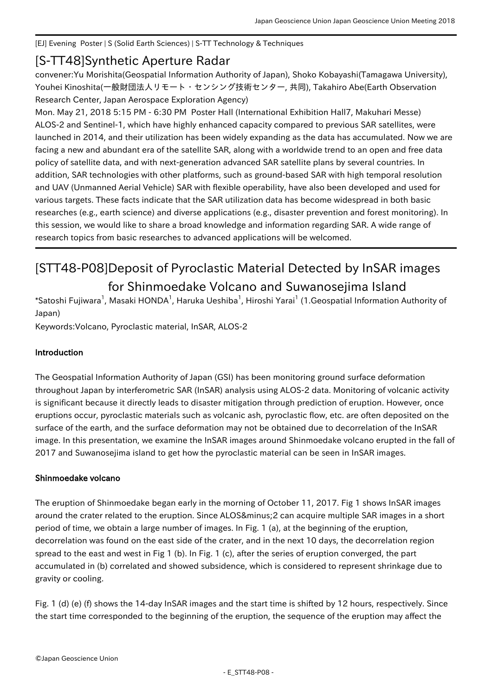[EJ] Evening Poster | S (Solid Earth Sciences) | S-TT Technology & Techniques

## [S-TT48] Synthetic Aperture Radar

convener:Yu Morishita(Geospatial Information Authority of Japan), Shoko Kobayashi(Tamagawa University), Youhei Kinoshita(一般財団法人リモート・センシング技術センター, 共同), Takahiro Abe(Earth Observation Research Center, Japan Aerospace Exploration Agency)

Mon. May 21, 2018 5:15 PM - 6:30 PM Poster Hall (International Exhibition Hall7, Makuhari Messe) ALOS-2 and Sentinel-1, which have highly enhanced capacity compared to previous SAR satellites, were launched in 2014, and their utilization has been widely expanding as the data has accumulated. Now we are facing a new and abundant era of the satellite SAR, along with a worldwide trend to an open and free data policy of satellite data, and with next-generation advanced SAR satellite plans by several countries. In addition, SAR technologies with other platforms, such as ground-based SAR with high temporal resolution and UAV (Unmanned Aerial Vehicle) SAR with flexible operability, have also been developed and used for various targets. These facts indicate that the SAR utilization data has become widespread in both basic researches (e.g., earth science) and diverse applications (e.g., disaster prevention and forest monitoring). In this session, we would like to share a broad knowledge and information regarding SAR. A wide range of research topics from basic researches to advanced applications will be welcomed.

# [STT48-P08] Deposit of Pyroclastic Material Detected by InSAR images for Shinmoedake Volcano and Suwanosejima Island

 $^*$ Satoshi Fujiwara $^1$ , Masaki HONDA $^1$ , Haruka Ueshiba $^1$ , Hiroshi Yarai $^1$  (1.Geospatial Information Authority of Japan)

Keywords:Volcano, Pyroclastic material, InSAR, ALOS-2

### Introduction

The Geospatial Information Authority of Japan (GSI) has been monitoring ground surface deformation throughout Japan by interferometric SAR (InSAR) analysis using ALOS-2 data. Monitoring of volcanic activity is significant because it directly leads to disaster mitigation through prediction of eruption. However, once eruptions occur, pyroclastic materials such as volcanic ash, pyroclastic flow, etc. are often deposited on the surface of the earth, and the surface deformation may not be obtained due to decorrelation of the InSAR image. In this presentation, we examine the InSAR images around Shinmoedake volcano erupted in the fall of 2017 and Suwanosejima island to get how the pyroclastic material can be seen in InSAR images.

### Shinmoedake volcano

The eruption of Shinmoedake began early in the morning of October 11, 2017. Fig 1 shows InSAR images around the crater related to the eruption. Since ALOS−2 can acquire multiple SAR images in a short period of time, we obtain a large number of images. In Fig. 1 (a), at the beginning of the eruption, decorrelation was found on the east side of the crater, and in the next 10 days, the decorrelation region spread to the east and west in Fig 1 (b). In Fig. 1 (c), after the series of eruption converged, the part accumulated in (b) correlated and showed subsidence, which is considered to represent shrinkage due to gravity or cooling.

Fig. 1 (d) (e) (f) shows the 14-day InSAR images and the start time is shifted by 12 hours, respectively. Since the start time corresponded to the beginning of the eruption, the sequence of the eruption may affect the